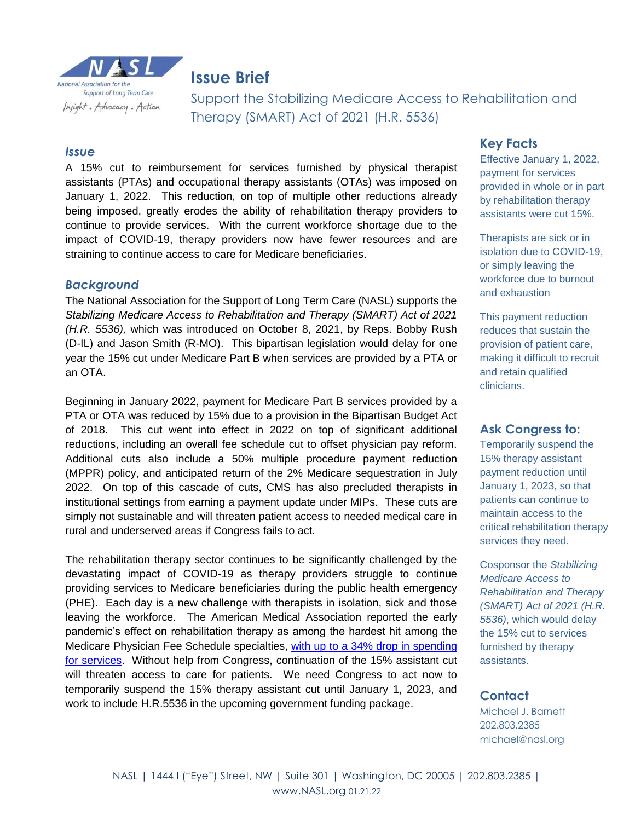

# **Issue Brief Issue Brief**

Support the Stabilizing Medicare Access to Rehabilitation and Therapy (SMART) Act of 2021 (H.R. 5536)

#### *Issue*

A 15% cut to reimbursement for services furnished by physical therapist assistants (PTAs) and occupational therapy assistants (OTAs) was imposed on January 1, 2022. This reduction, on top of multiple other reductions already being imposed, greatly erodes the ability of rehabilitation therapy providers to continue to provide services. With the current workforce shortage due to the impact of COVID-19, therapy providers now have fewer resources and are straining to continue access to care for Medicare beneficiaries.

#### *Background*

The National Association for the Support of Long Term Care (NASL) supports the *Stabilizing Medicare Access to Rehabilitation and Therapy (SMART) Act of 2021 (H.R. 5536),* which was introduced on October 8, 2021, by Reps. Bobby Rush (D-IL) and Jason Smith (R-MO). This bipartisan legislation would delay for one year the 15% cut under Medicare Part B when services are provided by a PTA or an OTA.

Beginning in January 2022, payment for Medicare Part B services provided by a PTA or OTA was reduced by 15% due to a provision in the Bipartisan Budget Act of 2018. This cut went into effect in 2022 on top of significant additional reductions, including an overall fee schedule cut to offset physician pay reform. Additional cuts also include a 50% multiple procedure payment reduction (MPPR) policy, and anticipated return of the 2% Medicare sequestration in July 2022. On top of this cascade of cuts, CMS has also precluded therapists in institutional settings from earning a payment update under MIPs. These cuts are simply not sustainable and will threaten patient access to needed medical care in rural and underserved areas if Congress fails to act.

The rehabilitation therapy sector continues to be significantly challenged by the devastating impact of COVID-19 as therapy providers struggle to continue providing services to Medicare beneficiaries during the public health emergency (PHE). Each day is a new challenge with therapists in isolation, sick and those leaving the workforce. The American Medical Association reported the early pandemic's effect on rehabilitation therapy as among the hardest hit among the Medicare Physician Fee Schedule specialties, [with up to a 34% drop in spending](https://www.ama-assn.org/system/files/2021-03/prp-covid-19-medicare-physician-spending.pdf)  [for services.](https://www.ama-assn.org/system/files/2021-03/prp-covid-19-medicare-physician-spending.pdf) Without help from Congress, continuation of the 15% assistant cut will threaten access to care for patients. We need Congress to act now to temporarily suspend the 15% therapy assistant cut until January 1, 2023, and work to include H.R.5536 in the upcoming government funding package.

#### **Key Facts**

Effective January 1, 2022, payment for services provided in whole or in part by rehabilitation therapy assistants were cut 15%.

Therapists are sick or in isolation due to COVID-19, or simply leaving the workforce due to burnout and exhaustion

This payment reduction reduces that sustain the provision of patient care, making it difficult to recruit and retain qualified clinicians.

#### **Ask Congress to:**

Temporarily suspend the 15% therapy assistant payment reduction until January 1, 2023, so that patients can continue to maintain access to the critical rehabilitation therapy services they need.

Cosponsor the *Stabilizing Medicare Access to Rehabilitation and Therapy (SMART) Act of 2021 (H.R. 5536)*, which would delay the 15% cut to services furnished by therapy assistants.

#### **Contact**

Michael J. Barnett 202.803.2385 michael@nasl.org